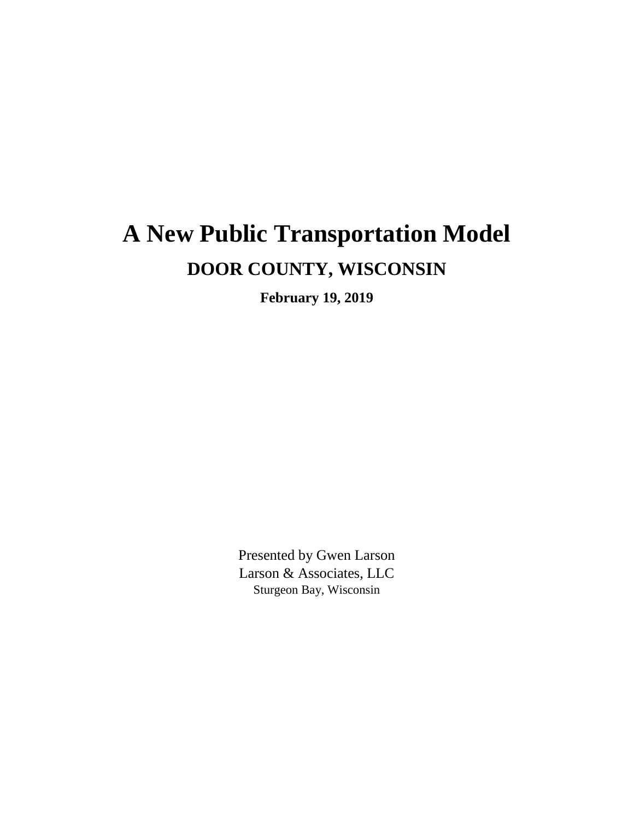# **A New Public Transportation Model DOOR COUNTY, WISCONSIN**

**February 19, 2019**

Presented by Gwen Larson Larson & Associates, LLC Sturgeon Bay, Wisconsin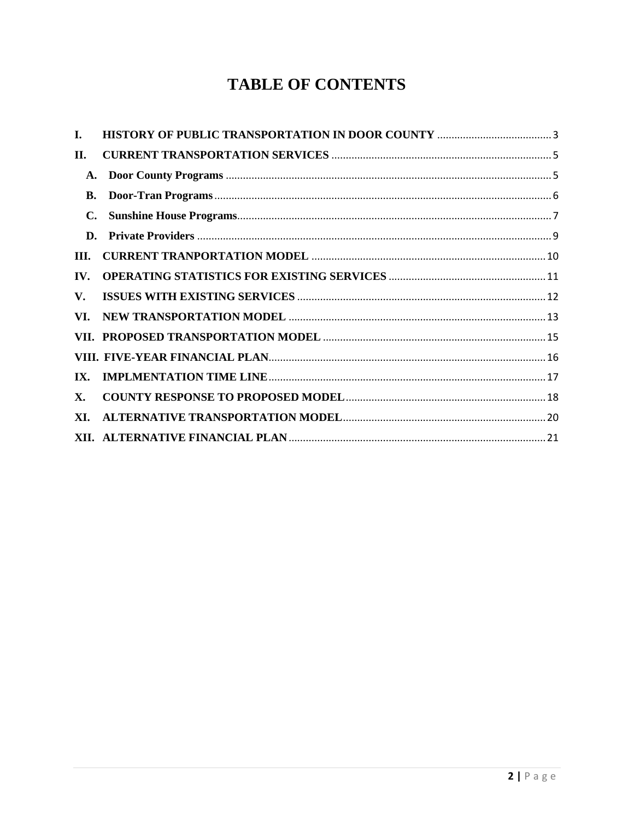## **TABLE OF CONTENTS**

| I.             |  |
|----------------|--|
| П.             |  |
| A.             |  |
| В.             |  |
| $\mathbf{C}$ . |  |
| D.             |  |
| III.           |  |
| IV.            |  |
| V.             |  |
| VI.            |  |
|                |  |
|                |  |
| IX.            |  |
| X.             |  |
| XI.            |  |
|                |  |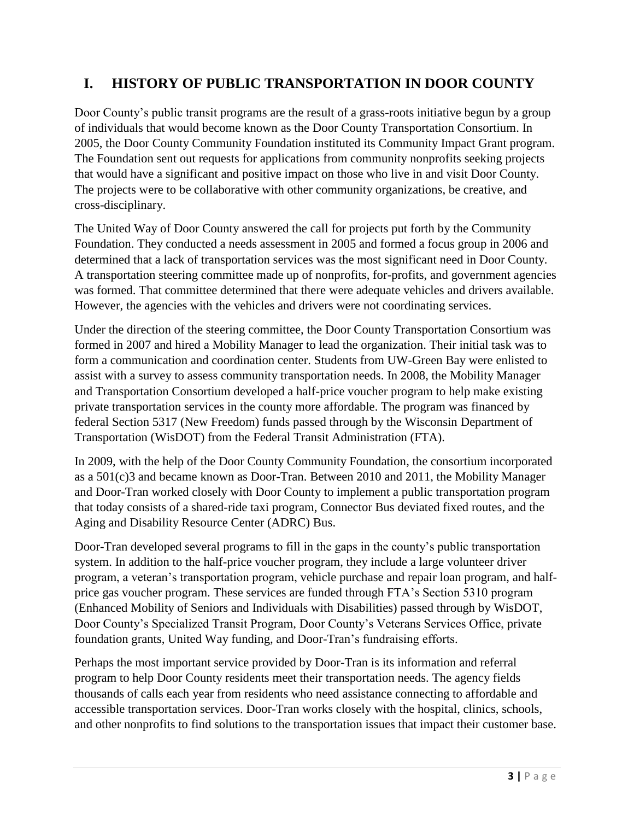## <span id="page-2-0"></span>**I. HISTORY OF PUBLIC TRANSPORTATION IN DOOR COUNTY**

Door County's public transit programs are the result of a grass-roots initiative begun by a group of individuals that would become known as the Door County Transportation Consortium. In 2005, the Door County Community Foundation instituted its Community Impact Grant program. The Foundation sent out requests for applications from community nonprofits seeking projects that would have a significant and positive impact on those who live in and visit Door County. The projects were to be collaborative with other community organizations, be creative, and cross-disciplinary.

The United Way of Door County answered the call for projects put forth by the Community Foundation. They conducted a needs assessment in 2005 and formed a focus group in 2006 and determined that a lack of transportation services was the most significant need in Door County. A transportation steering committee made up of nonprofits, for-profits, and government agencies was formed. That committee determined that there were adequate vehicles and drivers available. However, the agencies with the vehicles and drivers were not coordinating services.

Under the direction of the steering committee, the Door County Transportation Consortium was formed in 2007 and hired a Mobility Manager to lead the organization. Their initial task was to form a communication and coordination center. Students from UW-Green Bay were enlisted to assist with a survey to assess community transportation needs. In 2008, the Mobility Manager and Transportation Consortium developed a half-price voucher program to help make existing private transportation services in the county more affordable. The program was financed by federal Section 5317 (New Freedom) funds passed through by the Wisconsin Department of Transportation (WisDOT) from the Federal Transit Administration (FTA).

In 2009, with the help of the Door County Community Foundation, the consortium incorporated as a 501(c)3 and became known as Door-Tran. Between 2010 and 2011, the Mobility Manager and Door-Tran worked closely with Door County to implement a public transportation program that today consists of a shared-ride taxi program, Connector Bus deviated fixed routes, and the Aging and Disability Resource Center (ADRC) Bus.

Door-Tran developed several programs to fill in the gaps in the county's public transportation system. In addition to the half-price voucher program, they include a large volunteer driver program, a veteran's transportation program, vehicle purchase and repair loan program, and halfprice gas voucher program. These services are funded through FTA's Section 5310 program (Enhanced Mobility of Seniors and Individuals with Disabilities) passed through by WisDOT, Door County's Specialized Transit Program, Door County's Veterans Services Office, private foundation grants, United Way funding, and Door-Tran's fundraising efforts.

Perhaps the most important service provided by Door-Tran is its information and referral program to help Door County residents meet their transportation needs. The agency fields thousands of calls each year from residents who need assistance connecting to affordable and accessible transportation services. Door-Tran works closely with the hospital, clinics, schools, and other nonprofits to find solutions to the transportation issues that impact their customer base.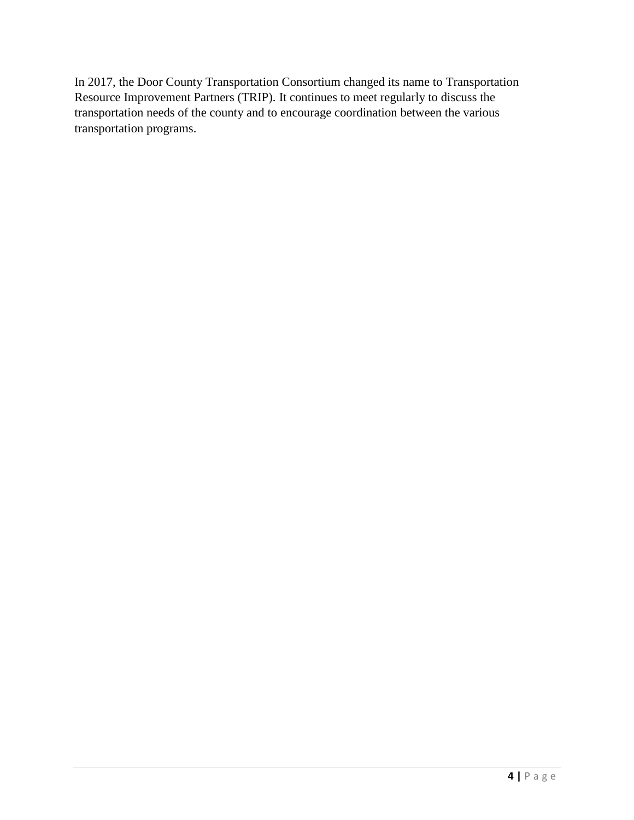In 2017, the Door County Transportation Consortium changed its name to Transportation Resource Improvement Partners (TRIP). It continues to meet regularly to discuss the transportation needs of the county and to encourage coordination between the various transportation programs.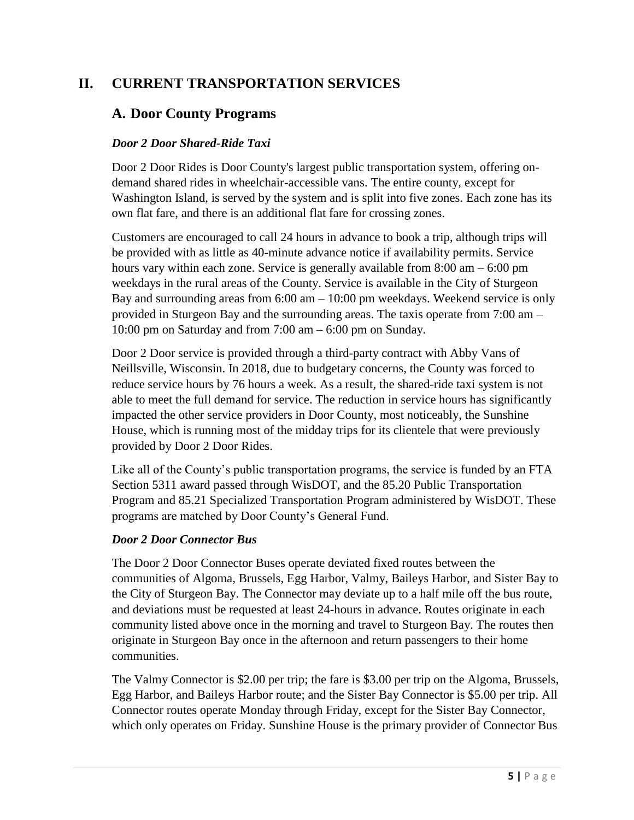## <span id="page-4-1"></span><span id="page-4-0"></span>**II. CURRENT TRANSPORTATION SERVICES**

#### **A. Door County Programs**

#### *Door 2 Door Shared-Ride Taxi*

Door 2 Door Rides is Door County's largest public transportation system, offering ondemand shared rides in wheelchair-accessible vans. The entire county, except for Washington Island, is served by the system and is split into five zones. Each zone has its own flat fare, and there is an additional flat fare for crossing zones.

Customers are encouraged to call 24 hours in advance to book a trip, although trips will be provided with as little as 40-minute advance notice if availability permits. Service hours vary within each zone. Service is generally available from 8:00 am – 6:00 pm weekdays in the rural areas of the County. Service is available in the City of Sturgeon Bay and surrounding areas from  $6:00$  am  $-10:00$  pm weekdays. Weekend service is only provided in Sturgeon Bay and the surrounding areas. The taxis operate from 7:00 am – 10:00 pm on Saturday and from 7:00 am – 6:00 pm on Sunday.

Door 2 Door service is provided through a third-party contract with Abby Vans of Neillsville, Wisconsin. In 2018, due to budgetary concerns, the County was forced to reduce service hours by 76 hours a week. As a result, the shared-ride taxi system is not able to meet the full demand for service. The reduction in service hours has significantly impacted the other service providers in Door County, most noticeably, the Sunshine House, which is running most of the midday trips for its clientele that were previously provided by Door 2 Door Rides.

Like all of the County's public transportation programs, the service is funded by an FTA Section 5311 award passed through WisDOT, and the 85.20 Public Transportation Program and 85.21 Specialized Transportation Program administered by WisDOT. These programs are matched by Door County's General Fund.

#### *Door 2 Door Connector Bus*

The Door 2 Door Connector Buses operate deviated fixed routes between the communities of Algoma, Brussels, Egg Harbor, Valmy, Baileys Harbor, and Sister Bay to the City of Sturgeon Bay. The Connector may deviate up to a half mile off the bus route, and deviations must be requested at least 24-hours in advance. Routes originate in each community listed above once in the morning and travel to Sturgeon Bay. The routes then originate in Sturgeon Bay once in the afternoon and return passengers to their home communities.

The Valmy Connector is \$2.00 per trip; the fare is \$3.00 per trip on the Algoma, Brussels, Egg Harbor, and Baileys Harbor route; and the Sister Bay Connector is \$5.00 per trip. All Connector routes operate Monday through Friday, except for the Sister Bay Connector, which only operates on Friday. Sunshine House is the primary provider of Connector Bus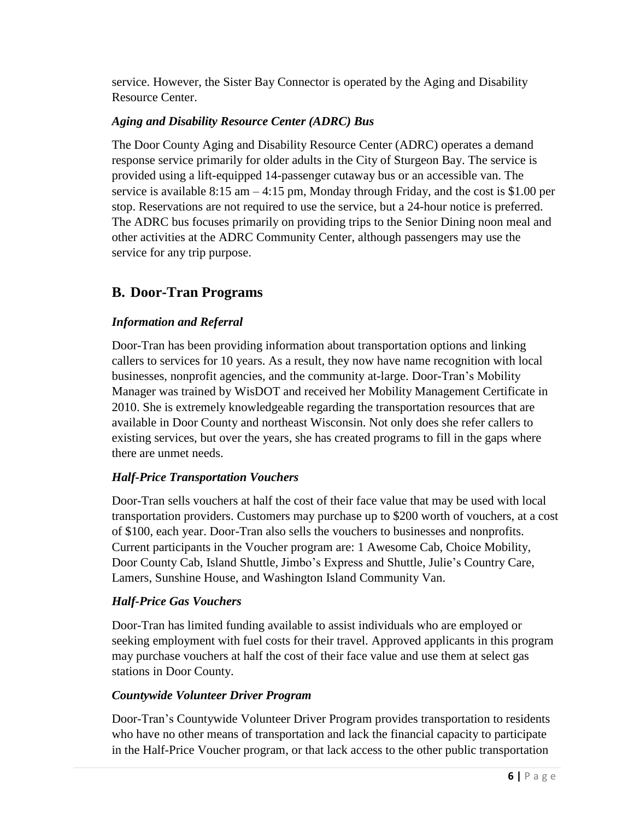service. However, the Sister Bay Connector is operated by the Aging and Disability Resource Center.

#### *Aging and Disability Resource Center (ADRC) Bus*

The Door County Aging and Disability Resource Center (ADRC) operates a demand response service primarily for older adults in the City of Sturgeon Bay. The service is provided using a lift-equipped 14-passenger cutaway bus or an accessible van. The service is available  $8:15$  am  $-4:15$  pm, Monday through Friday, and the cost is \$1.00 per stop. Reservations are not required to use the service, but a 24-hour notice is preferred. The ADRC bus focuses primarily on providing trips to the Senior Dining noon meal and other activities at the ADRC Community Center, although passengers may use the service for any trip purpose.

## <span id="page-5-0"></span>**B. Door-Tran Programs**

#### *Information and Referral*

Door-Tran has been providing information about transportation options and linking callers to services for 10 years. As a result, they now have name recognition with local businesses, nonprofit agencies, and the community at-large. Door-Tran's Mobility Manager was trained by WisDOT and received her Mobility Management Certificate in 2010. She is extremely knowledgeable regarding the transportation resources that are available in Door County and northeast Wisconsin. Not only does she refer callers to existing services, but over the years, she has created programs to fill in the gaps where there are unmet needs.

#### *Half-Price Transportation Vouchers*

Door-Tran sells vouchers at half the cost of their face value that may be used with local transportation providers. Customers may purchase up to \$200 worth of vouchers, at a cost of \$100, each year. Door-Tran also sells the vouchers to businesses and nonprofits. Current participants in the Voucher program are: 1 Awesome Cab, Choice Mobility, Door County Cab, Island Shuttle, Jimbo's Express and Shuttle, Julie's Country Care, Lamers, Sunshine House, and Washington Island Community Van.

#### *Half-Price Gas Vouchers*

Door-Tran has limited funding available to assist individuals who are employed or seeking employment with fuel costs for their travel. Approved applicants in this program may purchase vouchers at half the cost of their face value and use them at select gas stations in Door County.

#### *Countywide Volunteer Driver Program*

Door-Tran's Countywide Volunteer Driver Program provides transportation to residents who have no other means of transportation and lack the financial capacity to participate in the Half-Price Voucher program, or that lack access to the other public transportation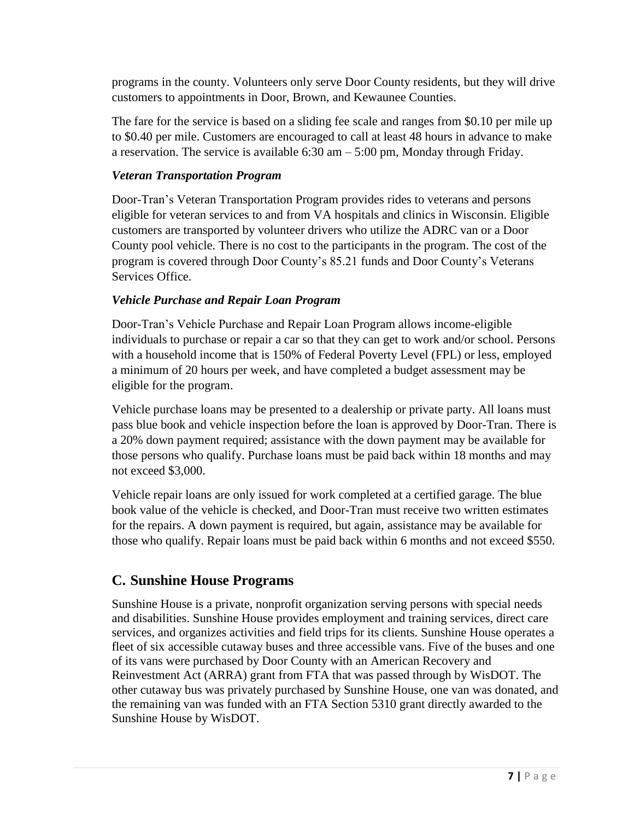programs in the county. Volunteers only serve Door County residents, but they will drive customers to appointments in Door, Brown, and Kewaunee Counties.

The fare for the service is based on a sliding fee scale and ranges from \$0.10 per mile up to \$0.40 per mile. Customers are encouraged to call at least 48 hours in advance to make a reservation. The service is available 6:30 am – 5:00 pm, Monday through Friday.

#### *Veteran Transportation Program*

Door-Tran's Veteran Transportation Program provides rides to veterans and persons eligible for veteran services to and from VA hospitals and clinics in Wisconsin. Eligible customers are transported by volunteer drivers who utilize the ADRC van or a Door County pool vehicle. There is no cost to the participants in the program. The cost of the program is covered through Door County's 85.21 funds and Door County's Veterans Services Office.

#### *Vehicle Purchase and Repair Loan Program*

Door-Tran's Vehicle Purchase and Repair Loan Program allows income-eligible individuals to purchase or repair a car so that they can get to work and/or school. Persons with a household income that is 150% of Federal Poverty Level (FPL) or less, employed a minimum of 20 hours per week, and have completed a budget assessment may be eligible for the program.

Vehicle purchase loans may be presented to a dealership or private party. All loans must pass blue book and vehicle inspection before the loan is approved by Door-Tran. There is a 20% down payment required; assistance with the down payment may be available for those persons who qualify. Purchase loans must be paid back within 18 months and may not exceed \$3,000.

Vehicle repair loans are only issued for work completed at a certified garage. The blue book value of the vehicle is checked, and Door-Tran must receive two written estimates for the repairs. A down payment is required, but again, assistance may be available for those who qualify. Repair loans must be paid back within 6 months and not exceed \$550.

## <span id="page-6-0"></span>**C. Sunshine House Programs**

Sunshine House is a private, nonprofit organization serving persons with special needs and disabilities. Sunshine House provides employment and training services, direct care services, and organizes activities and field trips for its clients. Sunshine House operates a fleet of six accessible cutaway buses and three accessible vans. Five of the buses and one of its vans were purchased by Door County with an American Recovery and Reinvestment Act (ARRA) grant from FTA that was passed through by WisDOT. The other cutaway bus was privately purchased by Sunshine House, one van was donated, and the remaining van was funded with an FTA Section 5310 grant directly awarded to the Sunshine House by WisDOT.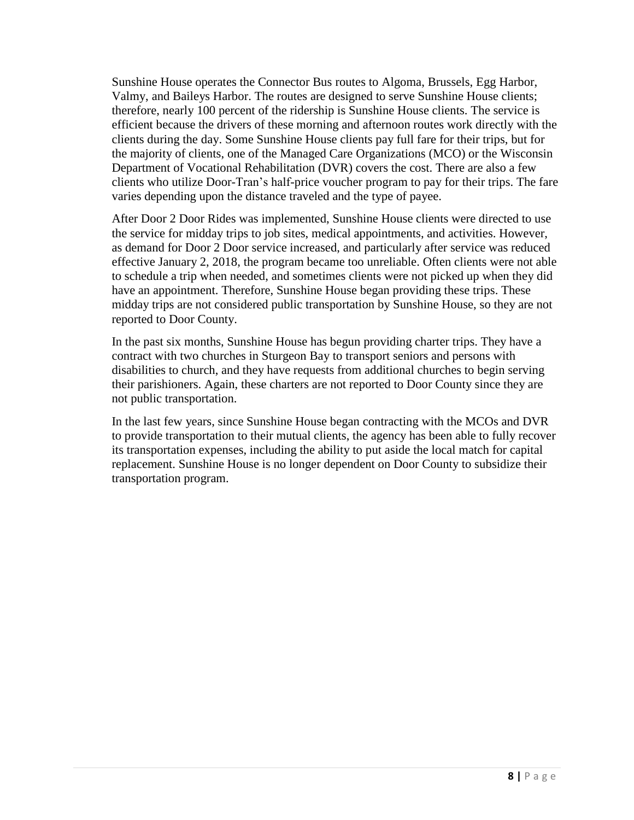Sunshine House operates the Connector Bus routes to Algoma, Brussels, Egg Harbor, Valmy, and Baileys Harbor. The routes are designed to serve Sunshine House clients; therefore, nearly 100 percent of the ridership is Sunshine House clients. The service is efficient because the drivers of these morning and afternoon routes work directly with the clients during the day. Some Sunshine House clients pay full fare for their trips, but for the majority of clients, one of the Managed Care Organizations (MCO) or the Wisconsin Department of Vocational Rehabilitation (DVR) covers the cost. There are also a few clients who utilize Door-Tran's half-price voucher program to pay for their trips. The fare varies depending upon the distance traveled and the type of payee.

After Door 2 Door Rides was implemented, Sunshine House clients were directed to use the service for midday trips to job sites, medical appointments, and activities. However, as demand for Door 2 Door service increased, and particularly after service was reduced effective January 2, 2018, the program became too unreliable. Often clients were not able to schedule a trip when needed, and sometimes clients were not picked up when they did have an appointment. Therefore, Sunshine House began providing these trips. These midday trips are not considered public transportation by Sunshine House, so they are not reported to Door County.

In the past six months, Sunshine House has begun providing charter trips. They have a contract with two churches in Sturgeon Bay to transport seniors and persons with disabilities to church, and they have requests from additional churches to begin serving their parishioners. Again, these charters are not reported to Door County since they are not public transportation.

In the last few years, since Sunshine House began contracting with the MCOs and DVR to provide transportation to their mutual clients, the agency has been able to fully recover its transportation expenses, including the ability to put aside the local match for capital replacement. Sunshine House is no longer dependent on Door County to subsidize their transportation program.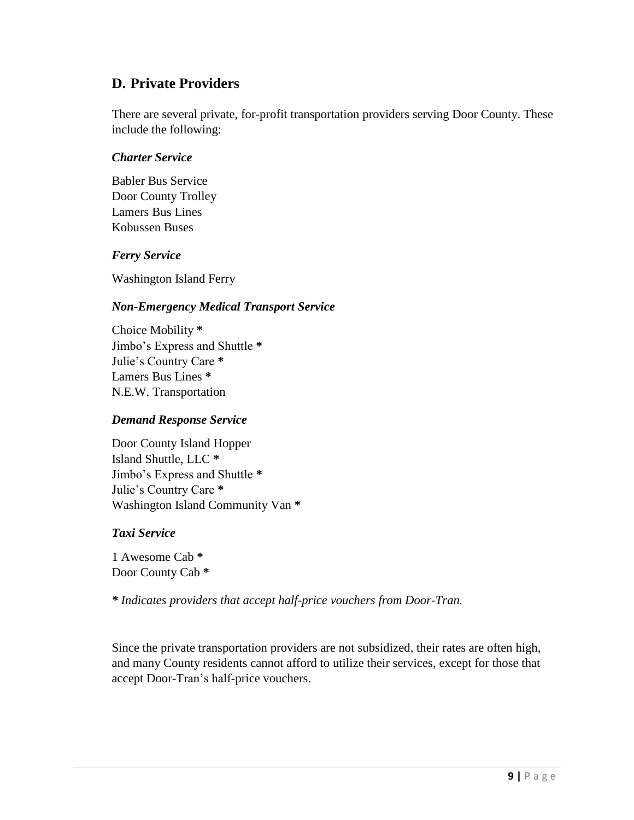### <span id="page-8-0"></span>**D. Private Providers**

There are several private, for-profit transportation providers serving Door County. These include the following:

#### *Charter Service*

Babler Bus Service Door County Trolley Lamers Bus Lines Kobussen Buses

#### *Ferry Service*

Washington Island Ferry

#### *Non-Emergency Medical Transport Service*

Choice Mobility **\*** Jimbo's Express and Shuttle **\*** Julie's Country Care **\*** Lamers Bus Lines **\*** N.E.W. Transportation

#### *Demand Response Service*

Door County Island Hopper Island Shuttle, LLC **\*** Jimbo's Express and Shuttle **\*** Julie's Country Care **\*** Washington Island Community Van **\***

#### *Taxi Service*

1 Awesome Cab **\*** Door County Cab **\***

*\* Indicates providers that accept half-price vouchers from Door-Tran.*

Since the private transportation providers are not subsidized, their rates are often high, and many County residents cannot afford to utilize their services, except for those that accept Door-Tran's half-price vouchers.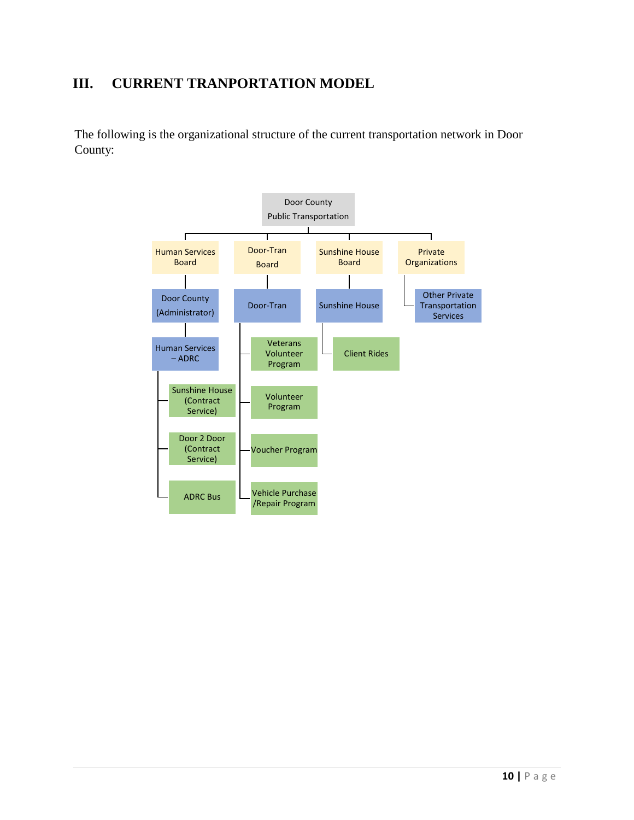## <span id="page-9-0"></span>**III. CURRENT TRANPORTATION MODEL**

The following is the organizational structure of the current transportation network in Door County:

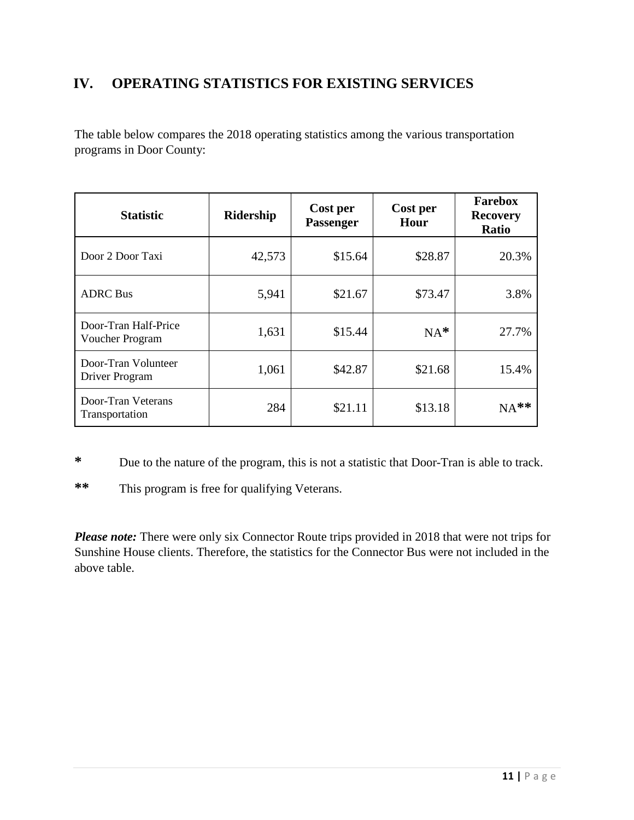## <span id="page-10-0"></span>**IV. OPERATING STATISTICS FOR EXISTING SERVICES**

The table below compares the 2018 operating statistics among the various transportation programs in Door County:

| <b>Statistic</b>                        | Ridership | Cost per<br><b>Passenger</b> | Cost per<br>Hour | <b>Farebox</b><br><b>Recovery</b><br><b>Ratio</b> |
|-----------------------------------------|-----------|------------------------------|------------------|---------------------------------------------------|
| Door 2 Door Taxi                        | 42,573    | \$15.64                      | \$28.87          | 20.3%                                             |
| <b>ADRC</b> Bus                         | 5,941     | \$21.67                      | \$73.47          | 3.8%                                              |
| Door-Tran Half-Price<br>Voucher Program | 1,631     | \$15.44                      | $NA^*$           | 27.7%                                             |
| Door-Tran Volunteer<br>Driver Program   | 1,061     | \$42.87                      | \$21.68          | 15.4%                                             |
| Door-Tran Veterans<br>Transportation    | 284       | \$21.11                      | \$13.18          | $NA**$                                            |

**\*** Due to the nature of the program, this is not a statistic that Door-Tran is able to track.

**\*\*** This program is free for qualifying Veterans.

*Please note:* There were only six Connector Route trips provided in 2018 that were not trips for Sunshine House clients. Therefore, the statistics for the Connector Bus were not included in the above table.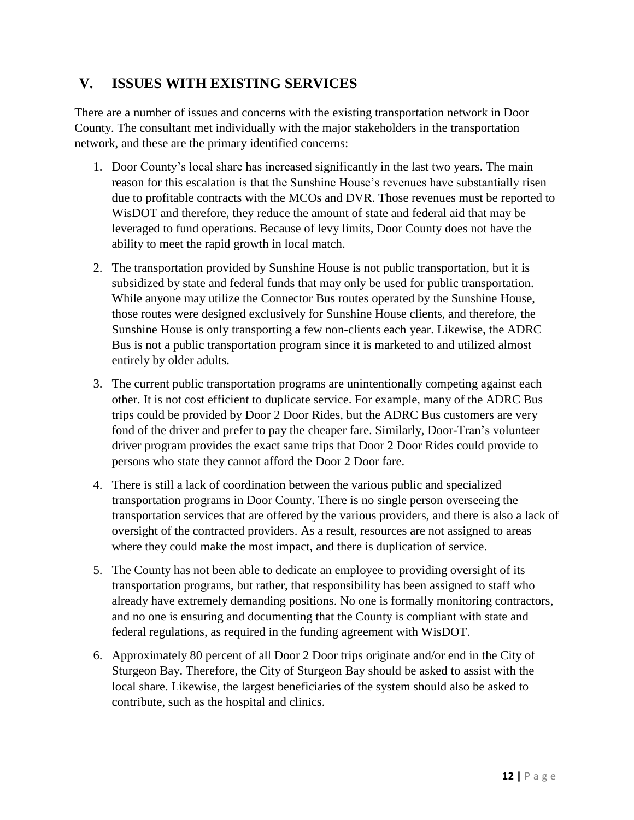## <span id="page-11-0"></span>**V. ISSUES WITH EXISTING SERVICES**

There are a number of issues and concerns with the existing transportation network in Door County. The consultant met individually with the major stakeholders in the transportation network, and these are the primary identified concerns:

- 1. Door County's local share has increased significantly in the last two years. The main reason for this escalation is that the Sunshine House's revenues have substantially risen due to profitable contracts with the MCOs and DVR. Those revenues must be reported to WisDOT and therefore, they reduce the amount of state and federal aid that may be leveraged to fund operations. Because of levy limits, Door County does not have the ability to meet the rapid growth in local match.
- 2. The transportation provided by Sunshine House is not public transportation, but it is subsidized by state and federal funds that may only be used for public transportation. While anyone may utilize the Connector Bus routes operated by the Sunshine House, those routes were designed exclusively for Sunshine House clients, and therefore, the Sunshine House is only transporting a few non-clients each year. Likewise, the ADRC Bus is not a public transportation program since it is marketed to and utilized almost entirely by older adults.
- 3. The current public transportation programs are unintentionally competing against each other. It is not cost efficient to duplicate service. For example, many of the ADRC Bus trips could be provided by Door 2 Door Rides, but the ADRC Bus customers are very fond of the driver and prefer to pay the cheaper fare. Similarly, Door-Tran's volunteer driver program provides the exact same trips that Door 2 Door Rides could provide to persons who state they cannot afford the Door 2 Door fare.
- 4. There is still a lack of coordination between the various public and specialized transportation programs in Door County. There is no single person overseeing the transportation services that are offered by the various providers, and there is also a lack of oversight of the contracted providers. As a result, resources are not assigned to areas where they could make the most impact, and there is duplication of service.
- 5. The County has not been able to dedicate an employee to providing oversight of its transportation programs, but rather, that responsibility has been assigned to staff who already have extremely demanding positions. No one is formally monitoring contractors, and no one is ensuring and documenting that the County is compliant with state and federal regulations, as required in the funding agreement with WisDOT.
- 6. Approximately 80 percent of all Door 2 Door trips originate and/or end in the City of Sturgeon Bay. Therefore, the City of Sturgeon Bay should be asked to assist with the local share. Likewise, the largest beneficiaries of the system should also be asked to contribute, such as the hospital and clinics.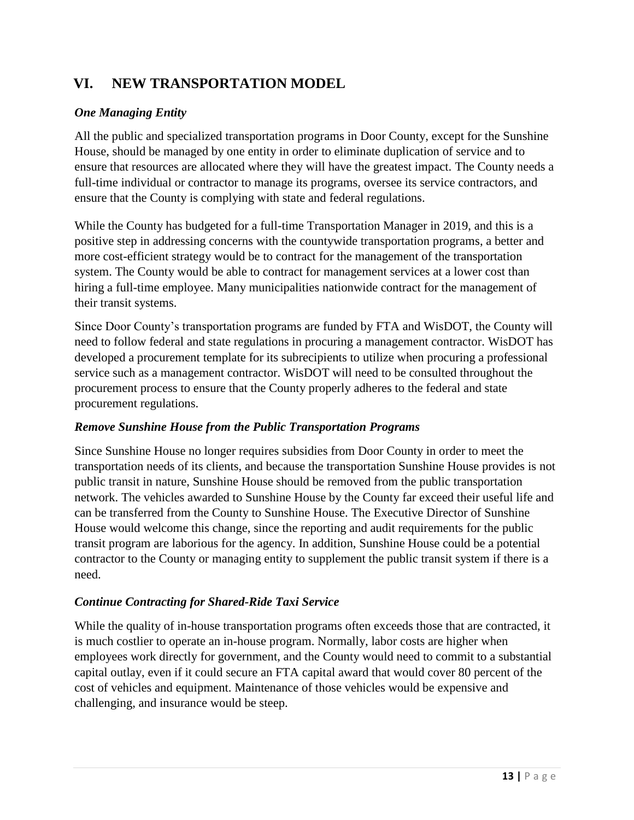## <span id="page-12-0"></span>**VI. NEW TRANSPORTATION MODEL**

#### *One Managing Entity*

All the public and specialized transportation programs in Door County, except for the Sunshine House, should be managed by one entity in order to eliminate duplication of service and to ensure that resources are allocated where they will have the greatest impact. The County needs a full-time individual or contractor to manage its programs, oversee its service contractors, and ensure that the County is complying with state and federal regulations.

While the County has budgeted for a full-time Transportation Manager in 2019, and this is a positive step in addressing concerns with the countywide transportation programs, a better and more cost-efficient strategy would be to contract for the management of the transportation system. The County would be able to contract for management services at a lower cost than hiring a full-time employee. Many municipalities nationwide contract for the management of their transit systems.

Since Door County's transportation programs are funded by FTA and WisDOT, the County will need to follow federal and state regulations in procuring a management contractor. WisDOT has developed a procurement template for its subrecipients to utilize when procuring a professional service such as a management contractor. WisDOT will need to be consulted throughout the procurement process to ensure that the County properly adheres to the federal and state procurement regulations.

#### *Remove Sunshine House from the Public Transportation Programs*

Since Sunshine House no longer requires subsidies from Door County in order to meet the transportation needs of its clients, and because the transportation Sunshine House provides is not public transit in nature, Sunshine House should be removed from the public transportation network. The vehicles awarded to Sunshine House by the County far exceed their useful life and can be transferred from the County to Sunshine House. The Executive Director of Sunshine House would welcome this change, since the reporting and audit requirements for the public transit program are laborious for the agency. In addition, Sunshine House could be a potential contractor to the County or managing entity to supplement the public transit system if there is a need.

#### *Continue Contracting for Shared-Ride Taxi Service*

While the quality of in-house transportation programs often exceeds those that are contracted, it is much costlier to operate an in-house program. Normally, labor costs are higher when employees work directly for government, and the County would need to commit to a substantial capital outlay, even if it could secure an FTA capital award that would cover 80 percent of the cost of vehicles and equipment. Maintenance of those vehicles would be expensive and challenging, and insurance would be steep.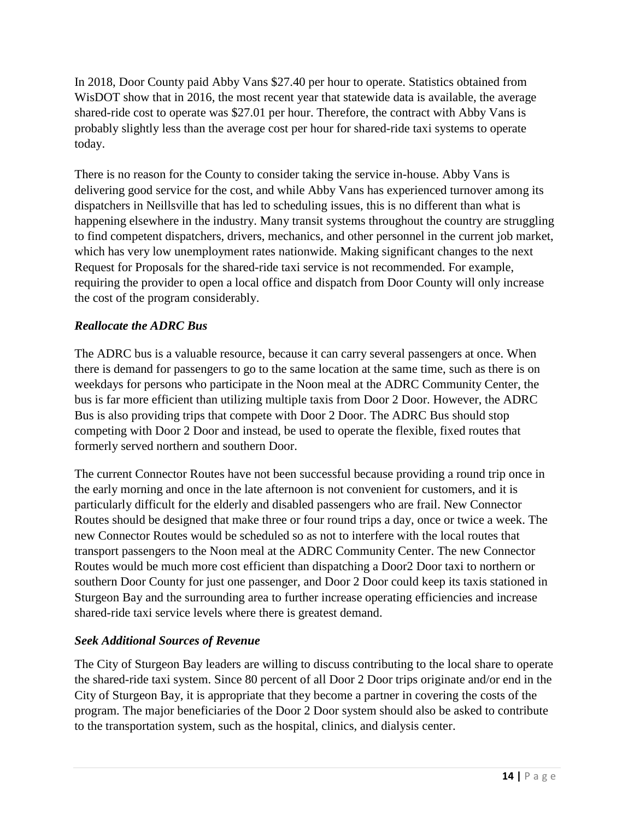In 2018, Door County paid Abby Vans \$27.40 per hour to operate. Statistics obtained from WisDOT show that in 2016, the most recent year that statewide data is available, the average shared-ride cost to operate was \$27.01 per hour. Therefore, the contract with Abby Vans is probably slightly less than the average cost per hour for shared-ride taxi systems to operate today.

There is no reason for the County to consider taking the service in-house. Abby Vans is delivering good service for the cost, and while Abby Vans has experienced turnover among its dispatchers in Neillsville that has led to scheduling issues, this is no different than what is happening elsewhere in the industry. Many transit systems throughout the country are struggling to find competent dispatchers, drivers, mechanics, and other personnel in the current job market, which has very low unemployment rates nationwide. Making significant changes to the next Request for Proposals for the shared-ride taxi service is not recommended. For example, requiring the provider to open a local office and dispatch from Door County will only increase the cost of the program considerably.

#### *Reallocate the ADRC Bus*

The ADRC bus is a valuable resource, because it can carry several passengers at once. When there is demand for passengers to go to the same location at the same time, such as there is on weekdays for persons who participate in the Noon meal at the ADRC Community Center, the bus is far more efficient than utilizing multiple taxis from Door 2 Door. However, the ADRC Bus is also providing trips that compete with Door 2 Door. The ADRC Bus should stop competing with Door 2 Door and instead, be used to operate the flexible, fixed routes that formerly served northern and southern Door.

The current Connector Routes have not been successful because providing a round trip once in the early morning and once in the late afternoon is not convenient for customers, and it is particularly difficult for the elderly and disabled passengers who are frail. New Connector Routes should be designed that make three or four round trips a day, once or twice a week. The new Connector Routes would be scheduled so as not to interfere with the local routes that transport passengers to the Noon meal at the ADRC Community Center. The new Connector Routes would be much more cost efficient than dispatching a Door2 Door taxi to northern or southern Door County for just one passenger, and Door 2 Door could keep its taxis stationed in Sturgeon Bay and the surrounding area to further increase operating efficiencies and increase shared-ride taxi service levels where there is greatest demand.

#### *Seek Additional Sources of Revenue*

The City of Sturgeon Bay leaders are willing to discuss contributing to the local share to operate the shared-ride taxi system. Since 80 percent of all Door 2 Door trips originate and/or end in the City of Sturgeon Bay, it is appropriate that they become a partner in covering the costs of the program. The major beneficiaries of the Door 2 Door system should also be asked to contribute to the transportation system, such as the hospital, clinics, and dialysis center.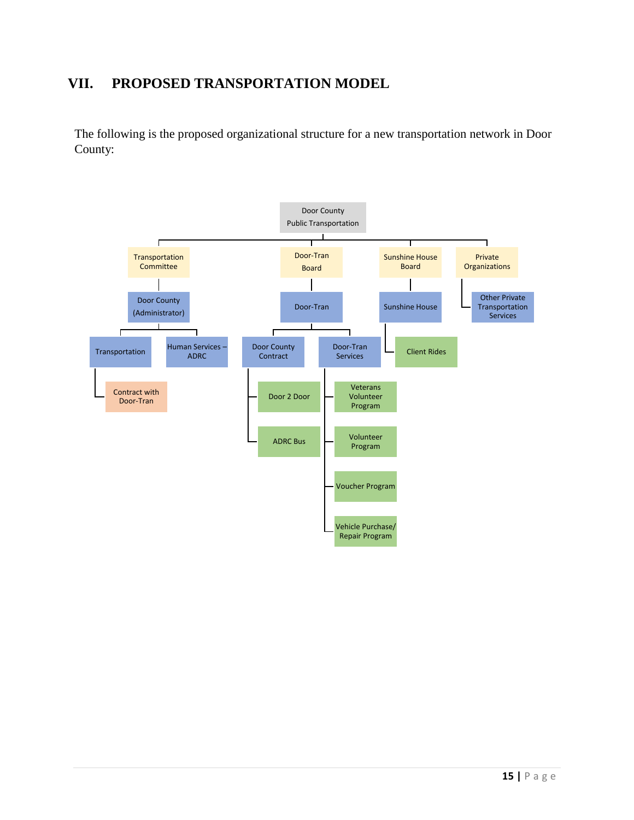## <span id="page-14-0"></span>**VII. PROPOSED TRANSPORTATION MODEL**

The following is the proposed organizational structure for a new transportation network in Door County:

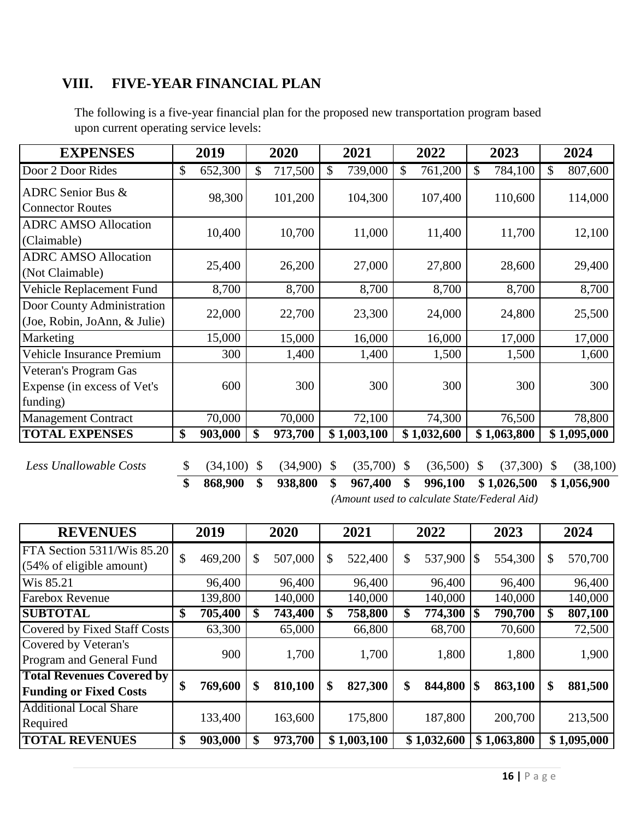## <span id="page-15-0"></span>**VIII. FIVE-YEAR FINANCIAL PLAN**

| <b>EXPENSES</b>                                                  | 2019           |               | 2020     |               | 2021        |               | 2022        |              | 2023        |    | 2024        |
|------------------------------------------------------------------|----------------|---------------|----------|---------------|-------------|---------------|-------------|--------------|-------------|----|-------------|
| Door 2 Door Rides                                                | \$<br>652,300  | \$            | 717,500  | $\mathcal{S}$ | 739,000     | $\mathcal{S}$ | 761,200     | \$           | 784,100     | \$ | 807,600     |
| <b>ADRC</b> Senior Bus &<br><b>Connector Routes</b>              | 98,300         |               | 101,200  |               | 104,300     |               | 107,400     |              | 110,600     |    | 114,000     |
| <b>ADRC AMSO Allocation</b><br>(Claimable)                       | 10,400         |               | 10,700   |               | 11,000      |               | 11,400      |              | 11,700      |    | 12,100      |
| <b>ADRC AMSO Allocation</b><br>(Not Claimable)                   | 25,400         |               | 26,200   |               | 27,000      |               | 27,800      |              | 28,600      |    | 29,400      |
| Vehicle Replacement Fund                                         | 8,700          |               | 8,700    |               | 8,700       |               | 8,700       |              | 8,700       |    | 8,700       |
| Door County Administration<br>(Joe, Robin, JoAnn, & Julie)       | 22,000         |               | 22,700   |               | 23,300      |               | 24,000      |              | 24,800      |    | 25,500      |
| Marketing                                                        | 15,000         |               | 15,000   |               | 16,000      |               | 16,000      |              | 17,000      |    | 17,000      |
| Vehicle Insurance Premium                                        | 300            |               | 1,400    |               | 1,400       |               | 1,500       |              | 1,500       |    | 1,600       |
| Veteran's Program Gas<br>Expense (in excess of Vet's<br>funding) | 600            |               | 300      |               | 300         |               | 300         |              | 300         |    | 300         |
| <b>Management Contract</b>                                       | 70,000         |               | 70,000   |               | 72,100      |               | 74,300      |              | 76,500      |    | 78,800      |
| <b>TOTAL EXPENSES</b>                                            | \$<br>903,000  | \$            | 973,700  |               | \$1,003,100 |               | \$1,032,600 |              | \$1,063,800 |    | \$1,095,000 |
| Less Unallowable Costs                                           | \$<br>(34,100) | $\mathcal{S}$ | (34,900) | \$            | (35,700)    | S             | (36,500)    | <sup>S</sup> | (37,300)    | -S | (38, 100)   |

The following is a five-year financial plan for the proposed new transportation program based upon current operating service levels:

**\$ 868,900 \$ 938,800 \$ 967,400 \$ 996,100 \$ 1,026,500 \$ 1,056,900**

*(Amount used to calculate State/Federal Aid)*

| <b>REVENUES</b>                                                   |                   | 2019    | 2020          | 2021          | 2022          | 2023          |    | 2024        |
|-------------------------------------------------------------------|-------------------|---------|---------------|---------------|---------------|---------------|----|-------------|
| FTA Section 5311/Wis 85.20<br>(54% of eligible amount)            | $\mathcal{S}$     | 469,200 | \$<br>507,000 | \$<br>522,400 | \$<br>537,900 | 554,300       | S  | 570,700     |
| Wis 85.21                                                         |                   | 96,400  | 96,400        | 96,400        | 96,400        | 96,400        |    | 96,400      |
| <b>Farebox Revenue</b>                                            |                   | 139,800 | 140,000       | 140,000       | 140,000       | 140,000       |    | 140,000     |
| <b>SUBTOTAL</b>                                                   | $\boldsymbol{\$}$ | 705,400 | \$<br>743,400 | \$<br>758,800 | \$<br>774,300 | \$<br>790,700 | \$ | 807,100     |
| Covered by Fixed Staff Costs                                      |                   | 63,300  | 65,000        | 66,800        | 68,700        | 70,600        |    | 72,500      |
| Covered by Veteran's<br>Program and General Fund                  |                   | 900     | 1,700         | 1,700         | 1,800         | 1,800         |    | 1,900       |
| <b>Total Revenues Covered by</b><br><b>Funding or Fixed Costs</b> | \$                | 769,600 | \$<br>810,100 | \$<br>827,300 | \$<br>844,800 | \$<br>863,100 | \$ | 881,500     |
| <b>Additional Local Share</b><br>Required                         |                   | 133,400 | 163,600       | 175,800       | 187,800       | 200,700       |    | 213,500     |
| <b>TOTAL REVENUES</b>                                             | \$                | 903,000 | 973,700       | \$1,003,100   | \$1,032,600   | \$1,063,800   |    | \$1,095,000 |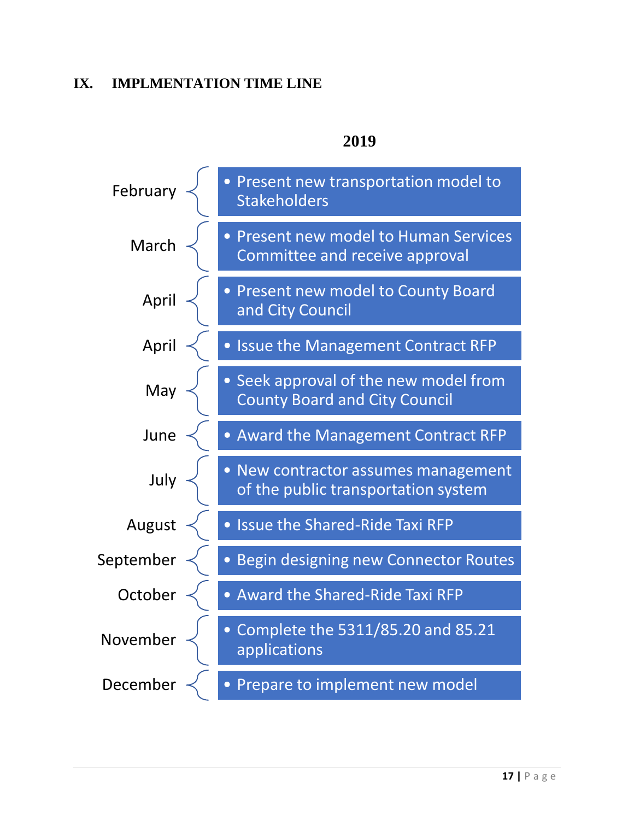## <span id="page-16-0"></span>**IX. IMPLMENTATION TIME LINE**



## **2019**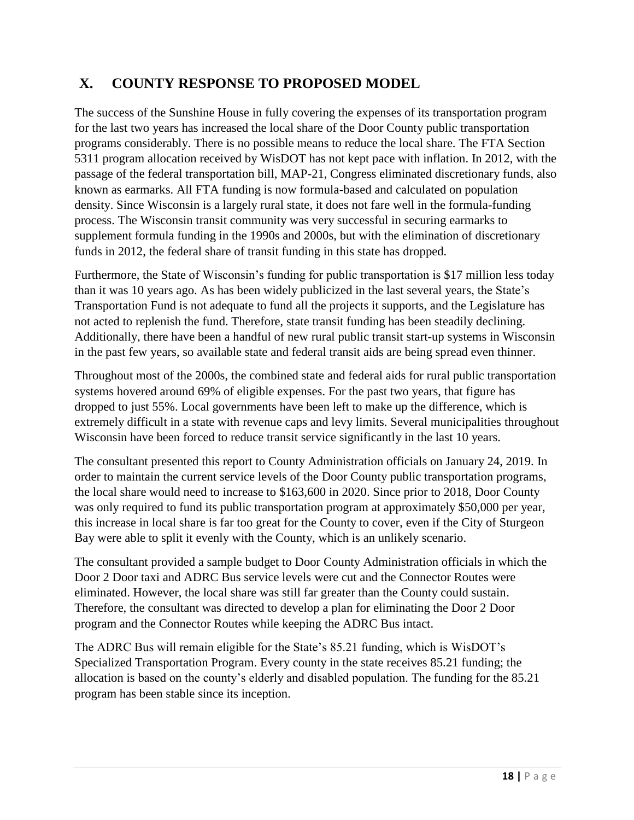## <span id="page-17-0"></span>**X. COUNTY RESPONSE TO PROPOSED MODEL**

The success of the Sunshine House in fully covering the expenses of its transportation program for the last two years has increased the local share of the Door County public transportation programs considerably. There is no possible means to reduce the local share. The FTA Section 5311 program allocation received by WisDOT has not kept pace with inflation. In 2012, with the passage of the federal transportation bill, MAP-21, Congress eliminated discretionary funds, also known as earmarks. All FTA funding is now formula-based and calculated on population density. Since Wisconsin is a largely rural state, it does not fare well in the formula-funding process. The Wisconsin transit community was very successful in securing earmarks to supplement formula funding in the 1990s and 2000s, but with the elimination of discretionary funds in 2012, the federal share of transit funding in this state has dropped.

Furthermore, the State of Wisconsin's funding for public transportation is \$17 million less today than it was 10 years ago. As has been widely publicized in the last several years, the State's Transportation Fund is not adequate to fund all the projects it supports, and the Legislature has not acted to replenish the fund. Therefore, state transit funding has been steadily declining. Additionally, there have been a handful of new rural public transit start-up systems in Wisconsin in the past few years, so available state and federal transit aids are being spread even thinner.

Throughout most of the 2000s, the combined state and federal aids for rural public transportation systems hovered around 69% of eligible expenses. For the past two years, that figure has dropped to just 55%. Local governments have been left to make up the difference, which is extremely difficult in a state with revenue caps and levy limits. Several municipalities throughout Wisconsin have been forced to reduce transit service significantly in the last 10 years.

The consultant presented this report to County Administration officials on January 24, 2019. In order to maintain the current service levels of the Door County public transportation programs, the local share would need to increase to \$163,600 in 2020. Since prior to 2018, Door County was only required to fund its public transportation program at approximately \$50,000 per year, this increase in local share is far too great for the County to cover, even if the City of Sturgeon Bay were able to split it evenly with the County, which is an unlikely scenario.

The consultant provided a sample budget to Door County Administration officials in which the Door 2 Door taxi and ADRC Bus service levels were cut and the Connector Routes were eliminated. However, the local share was still far greater than the County could sustain. Therefore, the consultant was directed to develop a plan for eliminating the Door 2 Door program and the Connector Routes while keeping the ADRC Bus intact.

The ADRC Bus will remain eligible for the State's 85.21 funding, which is WisDOT's Specialized Transportation Program. Every county in the state receives 85.21 funding; the allocation is based on the county's elderly and disabled population. The funding for the 85.21 program has been stable since its inception.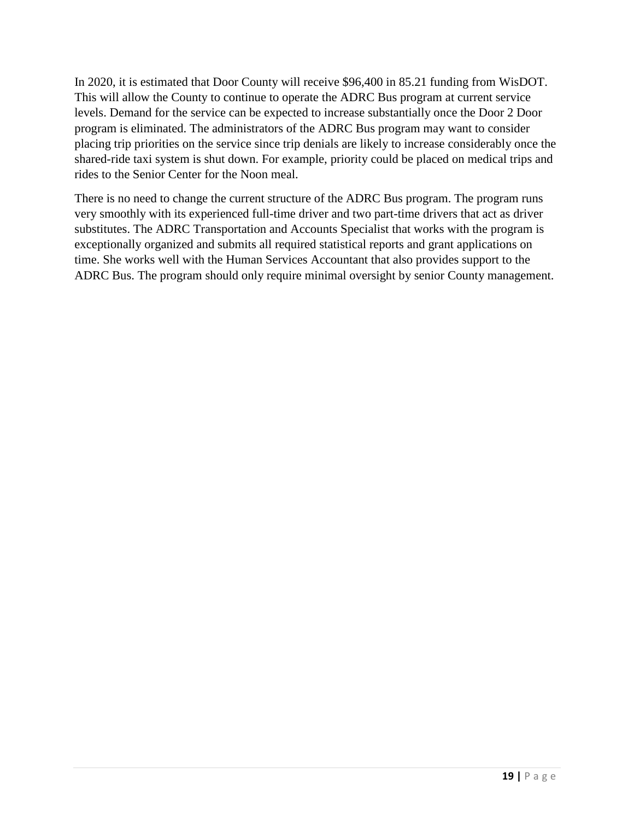In 2020, it is estimated that Door County will receive \$96,400 in 85.21 funding from WisDOT. This will allow the County to continue to operate the ADRC Bus program at current service levels. Demand for the service can be expected to increase substantially once the Door 2 Door program is eliminated. The administrators of the ADRC Bus program may want to consider placing trip priorities on the service since trip denials are likely to increase considerably once the shared-ride taxi system is shut down. For example, priority could be placed on medical trips and rides to the Senior Center for the Noon meal.

There is no need to change the current structure of the ADRC Bus program. The program runs very smoothly with its experienced full-time driver and two part-time drivers that act as driver substitutes. The ADRC Transportation and Accounts Specialist that works with the program is exceptionally organized and submits all required statistical reports and grant applications on time. She works well with the Human Services Accountant that also provides support to the ADRC Bus. The program should only require minimal oversight by senior County management.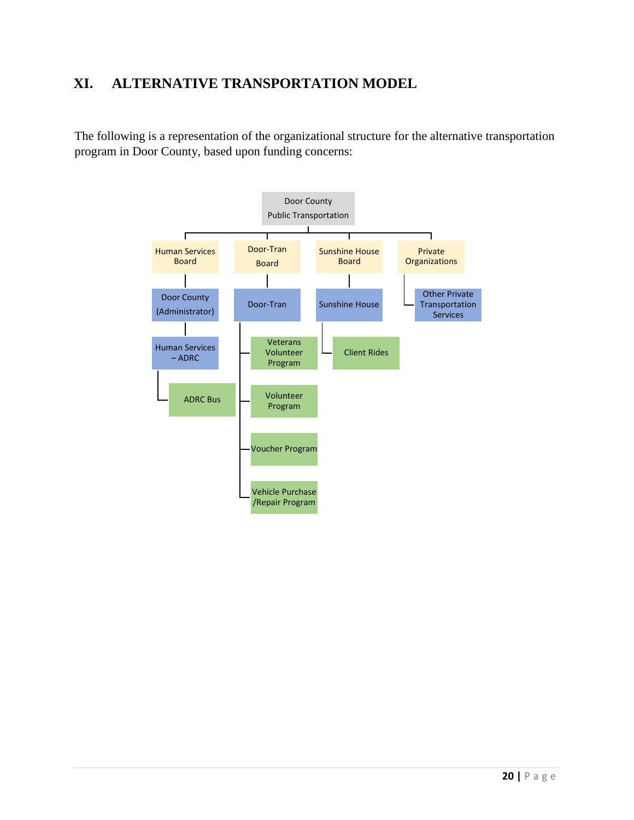## <span id="page-19-0"></span>**XI. ALTERNATIVE TRANSPORTATION MODEL**

The following is a representation of the organizational structure for the alternative transportation program in Door County, based upon funding concerns: